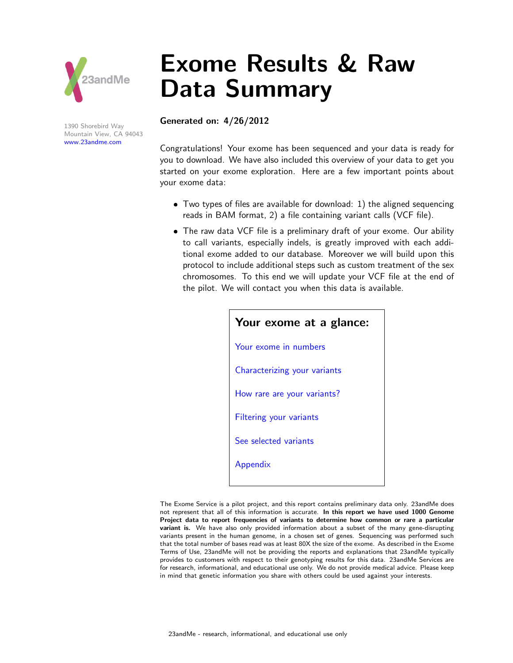

1390 Shorebird Way Mountain View, CA 94043 [www.23andme.com](https://www.23andme.com/)

# Exome Results & Raw Data Summary

#### Generated on: 4/26/2012

Congratulations! Your exome has been sequenced and your data is ready for you to download. We have also included this overview of your data to get you started on your exome exploration. Here are a few important points about your exome data:

- Two types of files are available for download: 1) the aligned sequencing reads in BAM format, 2) a file containing variant calls (VCF file).
- The raw data VCF file is a preliminary draft of your exome. Our ability to call variants, especially indels, is greatly improved with each additional exome added to our database. Moreover we will build upon this protocol to include additional steps such as custom treatment of the sex chromosomes. To this end we will update your VCF file at the end of the pilot. We will contact you when this data is available.

| Your exome at a glance:        |
|--------------------------------|
| Your exome in numbers          |
| Characterizing your variants   |
| How rare are your variants?    |
| <b>Filtering your variants</b> |
| See selected variants          |
| Appendix                       |
|                                |

The Exome Service is a pilot project, and this report contains preliminary data only. 23andMe does not represent that all of this information is accurate. In this report we have used 1000 Genome Project data to report frequencies of variants to determine how common or rare a particular variant is. We have also only provided information about a subset of the many gene-disrupting variants present in the human genome, in a chosen set of genes. Sequencing was performed such that the total number of bases read was at least 80X the size of the exome. As described in the Exome Terms of Use, 23andMe will not be providing the reports and explanations that 23andMe typically provides to customers with respect to their genotyping results for this data. 23andMe Services are for research, informational, and educational use only. We do not provide medical advice. Please keep in mind that genetic information you share with others could be used against your interests.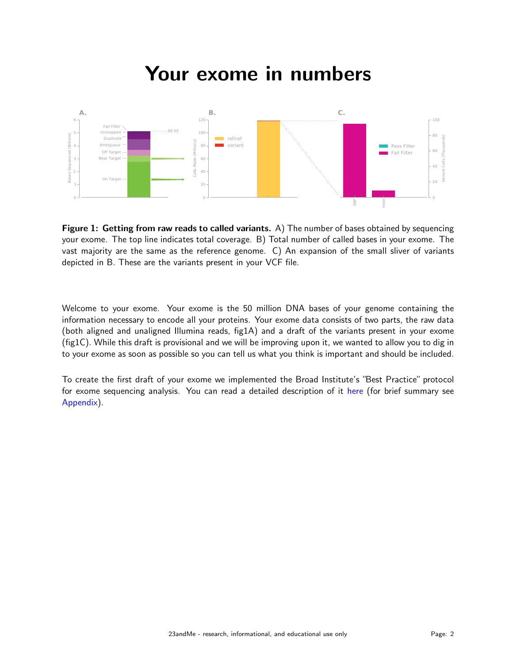### Your exome in numbers

<span id="page-1-0"></span>

Figure 1: Getting from raw reads to called variants. A) The number of bases obtained by sequencing your exome. The top line indicates total coverage. B) Total number of called bases in your exome. The vast majority are the same as the reference genome. C) An expansion of the small sliver of variants depicted in B. These are the variants present in your VCF file.

Welcome to your exome. Your exome is the 50 million DNA bases of your genome containing the information necessary to encode all your proteins. Your exome data consists of two parts, the raw data (both aligned and unaligned Illumina reads, fig1A) and a draft of the variants present in your exome (fig1C). While this draft is provisional and we will be improving upon it, we wanted to allow you to dig in to your exome as soon as possible so you can tell us what you think is important and should be included.

To create the first draft of your exome we implemented the Broad Institute's "Best Practice" protocol for exome sequencing analysis. You can read a detailed description of it [here](http://www.broadinstitute.org/gsa/wiki/index.php/Best_Practice_Variant_Detection_with_the_GATK_v3) (for brief summary see [Appendix\)](#page-12-0).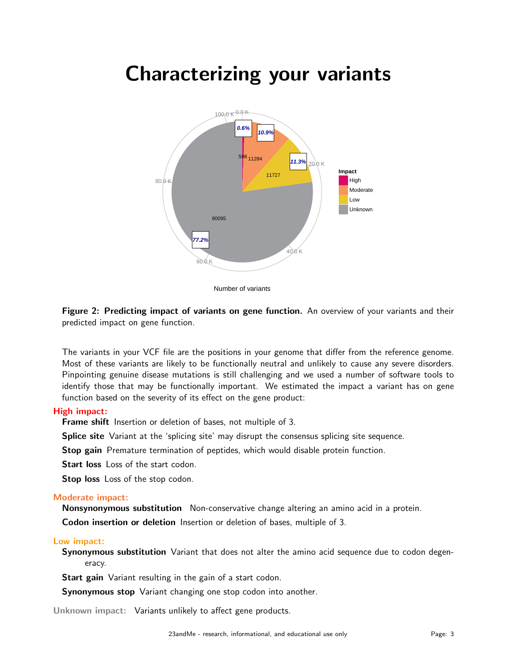### <span id="page-2-0"></span>Characterizing your variants



Number of variants

Figure 2: Predicting impact of variants on gene function. An overview of your variants and their predicted impact on gene function.

The variants in your VCF file are the positions in your genome that differ from the reference genome. Most of these variants are likely to be functionally neutral and unlikely to cause any severe disorders. Pinpointing genuine disease mutations is still challenging and we used a number of software tools to identify those that may be functionally important. We estimated the impact a variant has on gene function based on the severity of its effect on the gene product:

#### High impact:

**Frame shift** Insertion or deletion of bases, not multiple of 3.

Splice site Variant at the 'splicing site' may disrupt the consensus splicing site sequence.

Stop gain Premature termination of peptides, which would disable protein function.

Start loss Loss of the start codon.

Stop loss Loss of the stop codon.

#### Moderate impact:

Nonsynonymous substitution Non-conservative change altering an amino acid in a protein.

Codon insertion or deletion Insertion or deletion of bases, multiple of 3.

#### Low impact:

Synonymous substitution Variant that does not alter the amino acid sequence due to codon degeneracy.

Start gain Variant resulting in the gain of a start codon.

**Synonymous stop** Variant changing one stop codon into another.

Unknown impact: Variants unlikely to affect gene products.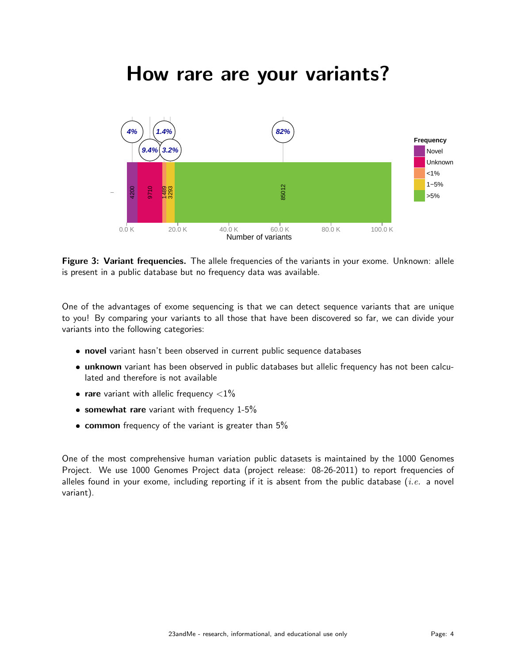### How rare are your variants?

<span id="page-3-0"></span>

Figure 3: Variant frequencies. The allele frequencies of the variants in your exome. Unknown: allele is present in a public database but no frequency data was available.

One of the advantages of exome sequencing is that we can detect sequence variants that are unique to you! By comparing your variants to all those that have been discovered so far, we can divide your variants into the following categories:

- **novel** variant hasn't been observed in current public sequence databases
- **· unknown** variant has been observed in public databases but allelic frequency has not been calculated and therefore is not available
- rare variant with allelic frequency  $<$ 1%
- **somewhat rare** variant with frequency  $1-5%$
- $\bullet$  common frequency of the variant is greater than 5%

One of the most comprehensive human variation public datasets is maintained by the 1000 Genomes Project. We use 1000 Genomes Project data (project release: 08-26-2011) to report frequencies of alleles found in your exome, including reporting if it is absent from the public database (*i.e.* a novel variant).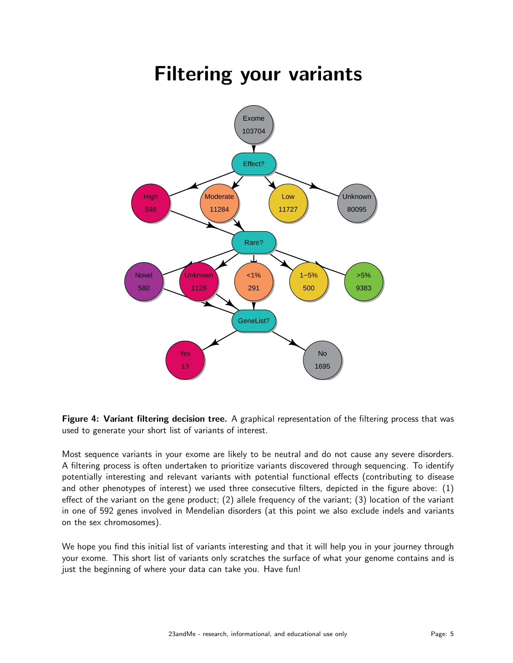## Filtering your variants

<span id="page-4-0"></span>

Figure 4: Variant filtering decision tree. A graphical representation of the filtering process that was used to generate your short list of variants of interest.

Most sequence variants in your exome are likely to be neutral and do not cause any severe disorders. A filtering process is often undertaken to prioritize variants discovered through sequencing. To identify potentially interesting and relevant variants with potential functional effects (contributing to disease and other phenotypes of interest) we used three consecutive filters, depicted in the figure above: (1) effect of the variant on the gene product; (2) allele frequency of the variant; (3) location of the variant in one of 592 genes involved in Mendelian disorders (at this point we also exclude indels and variants on the sex chromosomes).

We hope you find this initial list of variants interesting and that it will help you in your journey through your exome. This short list of variants only scratches the surface of what your genome contains and is just the beginning of where your data can take you. Have fun!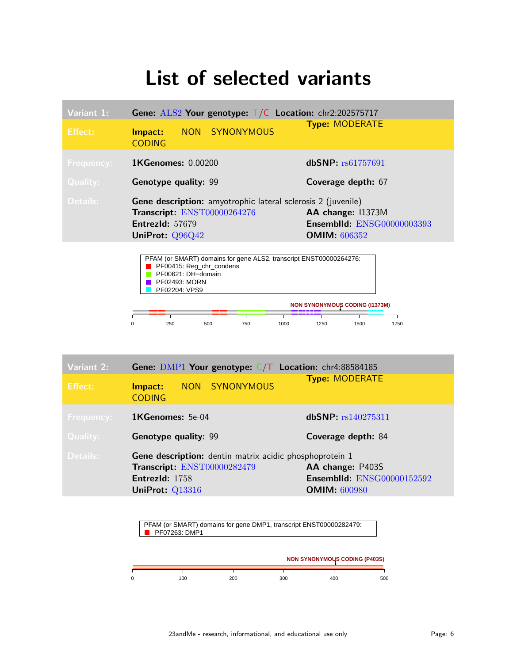### List of selected variants

| Variant 1:        | Gene: $ALS2$ Your genotype: $T/C$ Location: chr2:202575717                                                                               |                                                                                 |  |  |  |  |  |
|-------------------|------------------------------------------------------------------------------------------------------------------------------------------|---------------------------------------------------------------------------------|--|--|--|--|--|
| <b>Effect:</b>    | NON SYNONYMOUS<br>Impact:<br><b>CODING</b>                                                                                               | <b>Type: MODERATE</b>                                                           |  |  |  |  |  |
| <b>Frequency:</b> | <b>1KGenomes: 0.00200</b>                                                                                                                | dbSNP: rs61757691                                                               |  |  |  |  |  |
| <b>Quality:</b>   | <b>Genotype quality: 99</b>                                                                                                              | Coverage depth: 67                                                              |  |  |  |  |  |
| Details:          | <b>Gene description:</b> amyotrophic lateral sclerosis 2 (juvenile)<br>Transcript: ENST00000264276<br>EntrezId: 57679<br>UniProt: Q96Q42 | AA change: 11373M<br><b>Ensemblid: ENSG00000003393</b><br><b>OMIM:</b> $606352$ |  |  |  |  |  |
|                   | PFAM (or SMART) domains for gene ALS2, transcript ENST00000264276:<br>PF00415: Reg chr condens                                           |                                                                                 |  |  |  |  |  |



| Variant 2:        | <b>Gene:</b> DMP1 Your genotype: $C/T$ Location: chr4:88584185                                                              |                                                                              |  |  |  |  |  |  |
|-------------------|-----------------------------------------------------------------------------------------------------------------------------|------------------------------------------------------------------------------|--|--|--|--|--|--|
| Effect:           | NON SYNONYMOUS<br>Impact:<br><b>CODING</b>                                                                                  | <b>Type: MODERATE</b>                                                        |  |  |  |  |  |  |
| <b>Frequency:</b> | <b>1KGenomes:</b> 5e-04                                                                                                     | dbSNP: rs140275311                                                           |  |  |  |  |  |  |
| <b>Quality:</b>   | <b>Genotype quality: 99</b>                                                                                                 | Coverage depth: 84                                                           |  |  |  |  |  |  |
| Details:          | Gene description: dentin matrix acidic phosphoprotein 1<br>Transcript: ENST00000282479<br>EntrezId: 1758<br>UniProt: Q13316 | AA change: P403S<br><b>Ensemblld: ENSG00000152592</b><br><b>OMIM: 600980</b> |  |  |  |  |  |  |

PFAM (or SMART) domains for gene DMP1, transcript ENST00000282479: **PF07263: DMP1** 

|     |     |     | <b>NON SYNONYMOUS CODING (P403S)</b> |     |
|-----|-----|-----|--------------------------------------|-----|
| 100 | 200 | 300 | 400                                  | 500 |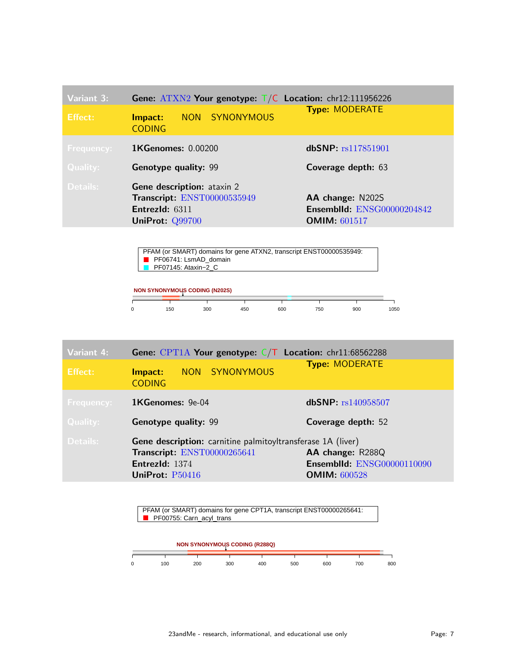| <b>Variant 3:</b><br>Effect:         | <b>Gene:</b> $ATXN2$ Your genotype: $T/C$ Location: chr12:111956226<br>NON SYNONYMOUS<br>Impact:<br><b>CODING</b> | <b>Type: MODERATE</b>                                                        |
|--------------------------------------|-------------------------------------------------------------------------------------------------------------------|------------------------------------------------------------------------------|
| <b>Frequency:</b><br><b>Quality:</b> | <b>1KGenomes: 0.00200</b><br><b>Genotype quality: 99</b>                                                          | dbSNP: rs117851901<br>Coverage depth: 63                                     |
| Details:                             | <b>Gene description:</b> ataxin 2<br>Transcript: ENST00000535949<br>EntrezId: 6311<br>UniProt: Q99700             | AA change: N202S<br><b>Ensemblid: ENSG00000204842</b><br><b>OMIM: 601517</b> |

PFAM (or SMART) domains for gene ATXN2, transcript ENST00000535949: PF06741: LsmAD\_domain PF07145: Ataxin–2\_C

| <b>NON SYNONYMOUS CODING (N202S)</b> |     |     |     |     |     |     |      |  |  |  |
|--------------------------------------|-----|-----|-----|-----|-----|-----|------|--|--|--|
|                                      | 150 | 300 | 450 | 600 | 750 | 900 | 1050 |  |  |  |

| <b>Variant 4:</b> | <b>Gene:</b> CPT1A Your genotype: $C/T$ Location: chr11:68562288                                                                |                                                                              |
|-------------------|---------------------------------------------------------------------------------------------------------------------------------|------------------------------------------------------------------------------|
| Effect:           | NON SYNONYMOUS<br>Impact:<br><b>CODING</b>                                                                                      | <b>Type: MODERATE</b>                                                        |
| <b>Frequency:</b> | 1KGenomes: 9e-04                                                                                                                | dbSNP: rs140958507                                                           |
| <b>Quality:</b>   | <b>Genotype quality: 99</b>                                                                                                     | Coverage depth: 52                                                           |
| Details:          | Gene description: carnitine palmitoyltransferase 1A (liver)<br>Transcript: ENST00000265641<br>EntrezId: 1374<br>UniProt: P50416 | AA change: R288Q<br><b>Ensemblid: ENSG00000110090</b><br><b>OMIM: 600528</b> |

PFAM (or SMART) domains for gene CPT1A, transcript ENST00000265641: PF00755: Carn\_acyl\_trans

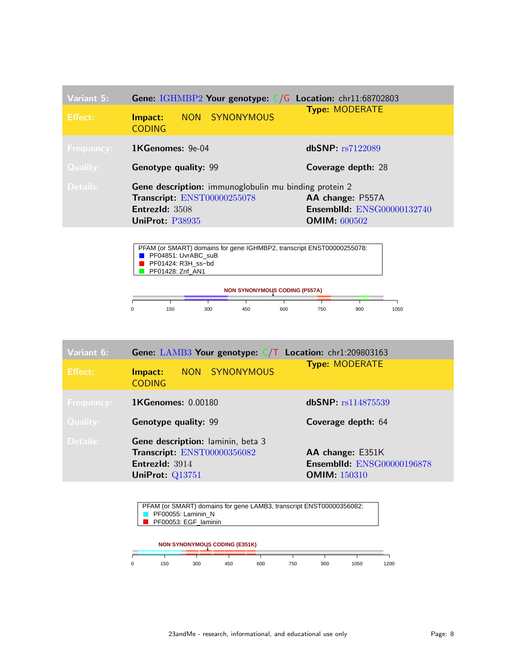| Variant 5:<br>Effect:                | Gene: IGHMBP2 Your genotype: C/G Location: chr11:68702803<br>NON SYNONYMOUS<br>Impact:<br><b>CODING</b>                          | <b>Type: MODERATE</b>                                                        |
|--------------------------------------|----------------------------------------------------------------------------------------------------------------------------------|------------------------------------------------------------------------------|
| <b>Frequency:</b><br><b>Quality:</b> | $1$ KGenomes: 9e-04<br><b>Genotype quality: 99</b>                                                                               | dbSNP: rs7122089<br>Coverage depth: 28                                       |
| Details:                             | <b>Gene description:</b> immunoglobulin mu binding protein 2<br>Transcript: ENST00000255078<br>EntrezId: 3508<br>UniProt: P38935 | AA change: P557A<br><b>Ensemblid: ENSG00000132740</b><br><b>OMIM: 600502</b> |



| Variant 6:        | <b>Gene:</b> LAMB3 Your genotype: $C/T$ Location: chr1:209803163                                      |                                                                              |
|-------------------|-------------------------------------------------------------------------------------------------------|------------------------------------------------------------------------------|
| <b>Effect:</b>    | NON SYNONYMOUS<br>Impact:<br><b>CODING</b>                                                            | <b>Type: MODERATE</b>                                                        |
| <b>Frequency:</b> | <b>1KGenomes: 0.00180</b>                                                                             | dbSNP: rs114875539                                                           |
| <b>Quality:</b>   | <b>Genotype quality: 99</b>                                                                           | Coverage depth: 64                                                           |
| Details:          | Gene description: laminin, beta 3<br>Transcript: ENST00000356082<br>EntrezId: 3914<br>UniProt: Q13751 | AA change: E351K<br><b>Ensemblid: ENSG00000196878</b><br><b>OMIM: 150310</b> |

| PFAM (or SMART) domains for gene LAMB3, transcript ENST00000356082: | PF00055: Laminin N                   |     |     |     |     |      |      |
|---------------------------------------------------------------------|--------------------------------------|-----|-----|-----|-----|------|------|
|                                                                     | PF00053: EGF laminin                 |     |     |     |     |      |      |
|                                                                     |                                      |     |     |     |     |      |      |
|                                                                     | <b>NON SYNONYMOUS CODING (E351K)</b> |     |     |     |     |      |      |
|                                                                     |                                      |     |     |     |     |      |      |
| 150                                                                 | 300                                  | 450 | 600 | 750 | 900 | 1050 | 1200 |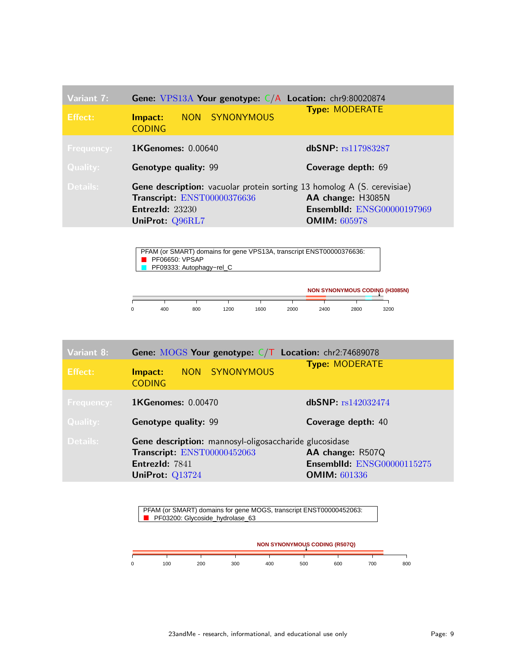| Variant 7:        | Gene: $VPS13A$ Your genotype: $C/A$ Location: chr9:80020874                                                                                         |                                                                               |
|-------------------|-----------------------------------------------------------------------------------------------------------------------------------------------------|-------------------------------------------------------------------------------|
| Effect:           | NON SYNONYMOUS<br>Impact:<br><b>CODING</b>                                                                                                          | <b>Type: MODERATE</b>                                                         |
| <b>Frequency:</b> | <b>1KGenomes: 0.00640</b>                                                                                                                           | dbSNP: rs117983287                                                            |
| <b>Quality:</b>   | <b>Genotype quality: 99</b>                                                                                                                         | Coverage depth: 69                                                            |
| Details:          | <b>Gene description:</b> vacuolar protein sorting 13 homolog A (S. cerevisiae)<br>Transcript: ENST00000376636<br>EntrezId: 23230<br>UniProt: Q96RL7 | AA change: H3085N<br><b>Ensemblid: ENSG00000197969</b><br><b>OMIM: 605978</b> |

PFAM (or SMART) domains for gene VPS13A, transcript ENST00000376636: **PF06650: VPSAP** PF09333: Autophagy−rel\_C ٦

|   |     |     |      |      |      |      |      | <b>NON SYNONYMOUS CODING (H3085N)</b> |
|---|-----|-----|------|------|------|------|------|---------------------------------------|
| 0 | 400 | 800 | 1200 | 1600 | 2000 | 2400 | 2800 | 3200                                  |

| Variant 8:                                                                | <b>Gene:</b> MOGS Your genotype: $C/T$ Location: chr2:74689078 |                                   |  |
|---------------------------------------------------------------------------|----------------------------------------------------------------|-----------------------------------|--|
| Effect:                                                                   | NON SYNONYMOUS<br>Impact:<br><b>CODING</b>                     | <b>Type: MODERATE</b>             |  |
| <b>Frequency:</b>                                                         | <b>1KGenomes: 0.00470</b>                                      | dbSNP: rs142032474                |  |
| Quality:                                                                  | <b>Genotype quality: 99</b>                                    | Coverage depth: 40                |  |
| Details:<br><b>Gene description:</b> mannosyl-oligosaccharide glucosidase |                                                                |                                   |  |
| Transcript: ENST00000452063                                               |                                                                | AA change: R507Q                  |  |
|                                                                           | EntrezId: 7841                                                 | <b>Ensemblid: ENSG00000115275</b> |  |
|                                                                           | UniProt: Q13724                                                | <b>OMIM: 601336</b>               |  |

PFAM (or SMART) domains for gene MOGS, transcript ENST00000452063: PF03200: Glycoside\_hydrolase\_63

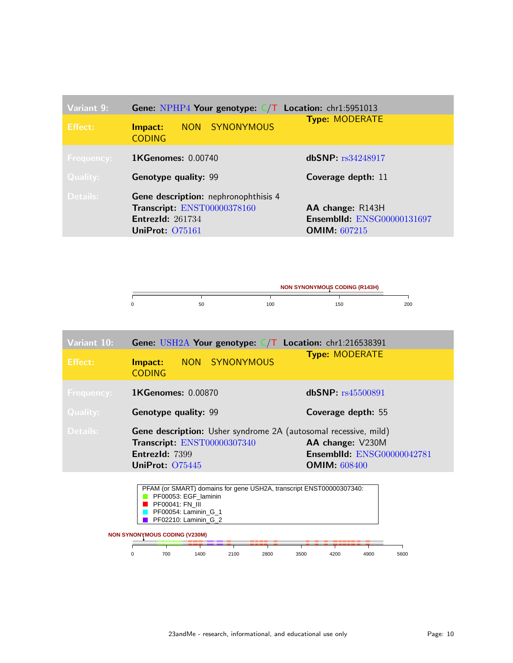| Variant 9:                                       | <b>Gene:</b> NPHP4 Your genotype: $C/T$ Location: chr1:5951013 |                                   |  |  |
|--------------------------------------------------|----------------------------------------------------------------|-----------------------------------|--|--|
| Effect:                                          | NON SYNONYMOUS<br>Impact:<br><b>CODING</b>                     | <b>Type: MODERATE</b>             |  |  |
| <b>Frequency:</b>                                | <b>1KGenomes: 0.00740</b>                                      | dbSNP: rs34248917                 |  |  |
| <b>Quality:</b>                                  | <b>Genotype quality: 99</b>                                    | Coverage depth: 11                |  |  |
| Details:<br>Gene description: nephronophthisis 4 |                                                                |                                   |  |  |
|                                                  | Transcript: ENST00000378160                                    | AA change: R143H                  |  |  |
|                                                  | EntrezId: $261734$                                             | <b>Ensemblid: ENSG00000131697</b> |  |  |
|                                                  | UniProt: 075161                                                | <b>OMIM:</b> $607215$             |  |  |



| Variant 10:       | <b>Gene:</b> USH2A Your genotype: $C/T$ Location: chr1:216538391 |                |                                   |  |
|-------------------|------------------------------------------------------------------|----------------|-----------------------------------|--|
| <b>Effect:</b>    | Impact:<br><b>CODING</b>                                         | NON SYNONYMOUS | <b>Type: MODERATE</b>             |  |
| <b>Frequency:</b> | <b>1KGenomes: 0.00870</b>                                        |                | dbSNP: rs45500891                 |  |
| <b>Quality:</b>   | <b>Genotype quality: 99</b>                                      |                | Coverage depth: 55                |  |
| Details:          | Gene description: Usher syndrome 2A (autosomal recessive, mild)  |                |                                   |  |
|                   | Transcript: ENST00000307340                                      |                | AA change: V230M                  |  |
|                   | EntrezId: 7399                                                   |                | <b>Ensemblid: ENSG00000042781</b> |  |
|                   | UniProt: 075445                                                  |                | <b>OMIM: 608400</b>               |  |

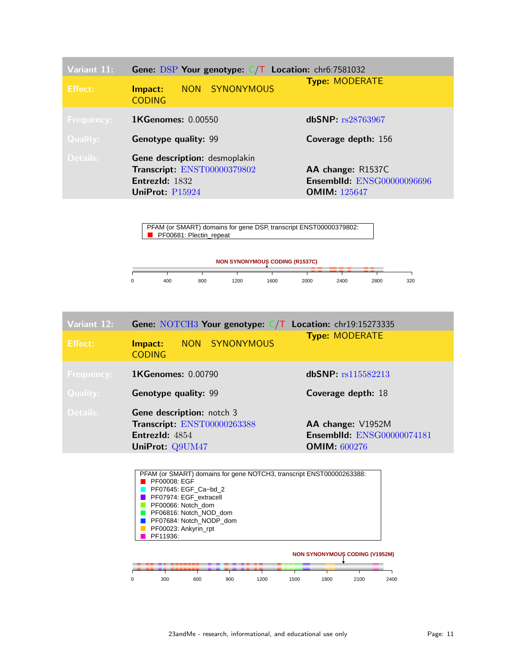| Variant 11:       | Gene: DSP Your genotype: $C/T$ Location: chr6:7581032<br><b>Type: MODERATE</b>                    |                |                                                                               |  |
|-------------------|---------------------------------------------------------------------------------------------------|----------------|-------------------------------------------------------------------------------|--|
| Effect:           | Impact:<br><b>CODING</b>                                                                          | NON SYNONYMOUS |                                                                               |  |
| <b>Frequency:</b> | <b>1KGenomes: 0.00550</b>                                                                         |                | dbSNP: rs28763967                                                             |  |
| <b>Quality:</b>   | <b>Genotype quality: 99</b>                                                                       |                | Coverage depth: 156                                                           |  |
| Details:          | Gene description: desmoplakin<br>Transcript: ENST00000379802<br>EntrezId: 1832<br>UniProt: P15924 |                | AA change: R1537C<br><b>Ensemblid: ENSG00000096696</b><br><b>OMIM: 125647</b> |  |

PFAM (or SMART) domains for gene DSP, transcript ENST00000379802: **PF00681: Plectin\_repeat** 



| Variant 12:       | <b>Gene:</b> NOTCH3 Your genotype: $C/T$ Location: chr19:15273335                 |                                                        |
|-------------------|-----------------------------------------------------------------------------------|--------------------------------------------------------|
| Effect:           | NON SYNONYMOUS<br>Impact:<br><b>CODING</b>                                        | <b>Type: MODERATE</b>                                  |
| <b>Frequency:</b> | <b>1KGenomes: 0.00790</b>                                                         | dbSNP: rs115582213                                     |
| <b>Quality:</b>   | <b>Genotype quality: 99</b>                                                       | Coverage depth: 18                                     |
| Details:          | <b>Gene description:</b> notch 3<br>Transcript: ENST00000263388<br>EntrezId: 4854 | AA change: V1952M<br><b>Ensemblid: ENSG00000074181</b> |
|                   | UniProt: Q9UM47                                                                   | <b>OMIM: 600276</b>                                    |

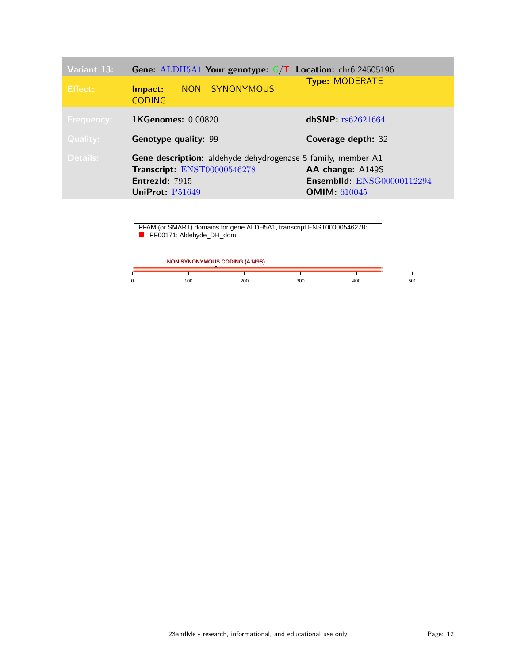| Variant 13:       | <b>Gene:</b> ALDH5A1 Your genotype: $G/T$ Location: chr6:24505196                                                                       |                                                                              |
|-------------------|-----------------------------------------------------------------------------------------------------------------------------------------|------------------------------------------------------------------------------|
| Effect:           | NON SYNONYMOUS<br>Impact:<br><b>CODING</b>                                                                                              | <b>Type: MODERATE</b>                                                        |
| <b>Frequency:</b> | <b>1KGenomes: 0.00820</b>                                                                                                               | dbSNP: $rs62621664$                                                          |
| <b>Quality:</b>   | <b>Genotype quality: 99</b>                                                                                                             | Coverage depth: 32                                                           |
| Details:          | <b>Gene description:</b> aldehyde dehydrogenase 5 family, member A1<br>Transcript: ENST00000546278<br>EntrezId: 7915<br>UniProt: P51649 | AA change: A149S<br><b>Ensemblid: ENSG00000112294</b><br><b>OMIM: 610045</b> |

| PFAM (or SMART) domains for gene ALDH5A1, transcript ENST00000546278: |
|-----------------------------------------------------------------------|
|                                                                       |
| <b>PF00171: Aldehyde_DH_dom</b>                                       |

| <b>NON SYNONYMOUS CODING (A149S)</b> |     |     |     |     |     |
|--------------------------------------|-----|-----|-----|-----|-----|
| 0                                    | 100 | 200 | 300 | 400 | 500 |